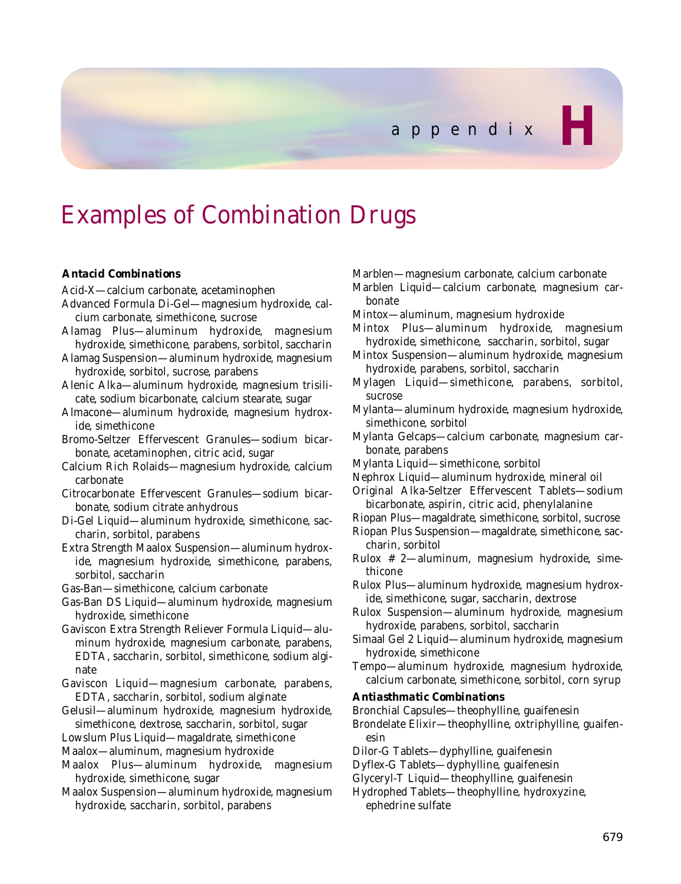# Examples of Combination Drugs

# *Antacid Combinations*

- Acid-X—calcium carbonate, acetaminophen
- Advanced Formula Di-Gel—magnesium hydroxide, calcium carbonate, simethicone, sucrose
- Alamag Plus—aluminum hydroxide, magnesium hydroxide, simethicone, parabens, sorbitol, saccharin
- Alamag Suspension—aluminum hydroxide, magnesium hydroxide, sorbitol, sucrose, parabens
- Alenic Alka—aluminum hydroxide, magnesium trisilicate, sodium bicarbonate, calcium stearate, sugar
- Almacone—aluminum hydroxide, magnesium hydroxide, simethicone
- Bromo-Seltzer Effervescent Granules—sodium bicarbonate, acetaminophen, citric acid, sugar
- Calcium Rich Rolaids—magnesium hydroxide, calcium carbonate
- Citrocarbonate Effervescent Granules—sodium bicarbonate, sodium citrate anhydrous
- Di-Gel Liquid—aluminum hydroxide, simethicone, saccharin, sorbitol, parabens
- Extra Strength Maalox Suspension—aluminum hydroxide, magnesium hydroxide, simethicone, parabens, sorbitol, saccharin
- Gas-Ban—simethicone, calcium carbonate
- Gas-Ban DS Liquid—aluminum hydroxide, magnesium hydroxide, simethicone
- Gaviscon Extra Strength Reliever Formula Liquid—aluminum hydroxide, magnesium carbonate, parabens, EDTA, saccharin, sorbitol, simethicone, sodium alginate
- Gaviscon Liquid—magnesium carbonate, parabens, EDTA, saccharin, sorbitol, sodium alginate
- Gelusil—aluminum hydroxide, magnesium hydroxide, simethicone, dextrose, saccharin, sorbitol, sugar
- Lowslum Plus Liquid—magaldrate, simethicone
- Maalox—aluminum, magnesium hydroxide
- Maalox Plus—aluminum hydroxide, magnesium hydroxide, simethicone, sugar
- Maalox Suspension—aluminum hydroxide, magnesium hydroxide, saccharin, sorbitol, parabens
- Marblen—magnesium carbonate, calcium carbonate Marblen Liquid—calcium carbonate, magnesium car-
- bonate
- Mintox—aluminum, magnesium hydroxide
- Mintox Plus—aluminum hydroxide, magnesium hydroxide, simethicone, saccharin, sorbitol, sugar
- Mintox Suspension—aluminum hydroxide, magnesium hydroxide, parabens, sorbitol, saccharin
- Mylagen Liquid—simethicone, parabens, sorbitol, sucrose
- Mylanta—aluminum hydroxide, magnesium hydroxide, simethicone, sorbitol
- Mylanta Gelcaps—calcium carbonate, magnesium carbonate, parabens
- Mylanta Liquid—simethicone, sorbitol
- Nephrox Liquid—aluminum hydroxide, mineral oil
- Original Alka-Seltzer Effervescent Tablets—sodium bicarbonate, aspirin, citric acid, phenylalanine
- Riopan Plus—magaldrate, simethicone, sorbitol, sucrose
- Riopan Plus Suspension—magaldrate, simethicone, saccharin, sorbitol
- Rulox # 2—aluminum, magnesium hydroxide, simethicone
- Rulox Plus—aluminum hydroxide, magnesium hydroxide, simethicone, sugar, saccharin, dextrose
- Rulox Suspension—aluminum hydroxide, magnesium hydroxide, parabens, sorbitol, saccharin
- Simaal Gel 2 Liquid—aluminum hydroxide, magnesium hydroxide, simethicone
- Tempo—aluminum hydroxide, magnesium hydroxide, calcium carbonate, simethicone, sorbitol, corn syrup

# *Antiasthmatic Combinations*

- Bronchial Capsules—theophylline, guaifenesin
- Brondelate Elixir—theophylline, oxtriphylline, guaifenesin
- Dilor-G Tablets—dyphylline, guaifenesin
- Dyflex-G Tablets—dyphylline, guaifenesin
- Glyceryl-T Liquid—theophylline, guaifenesin
- Hydrophed Tablets—theophylline, hydroxyzine, ephedrine sulfate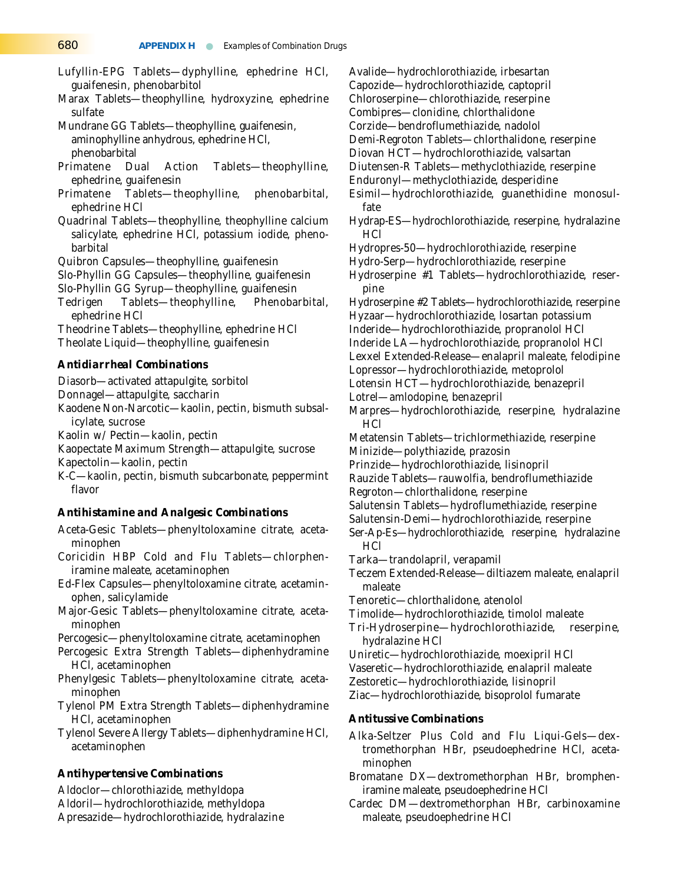- Lufyllin-EPG Tablets—dyphylline, ephedrine HCl, guaifenesin, phenobarbitol
- Marax Tablets—theophylline, hydroxyzine, ephedrine sulfate
- Mundrane GG Tablets—theophylline, guaifenesin, aminophylline anhydrous, ephedrine HCl, phenobarbital
- Primatene Dual Action Tablets—theophylline, ephedrine, guaifenesin
- Primatene Tablets—theophylline, phenobarbital, ephedrine HCl
- Quadrinal Tablets—theophylline, theophylline calcium salicylate, ephedrine HCl, potassium iodide, phenobarbital
- Quibron Capsules—theophylline, guaifenesin
- Slo-Phyllin GG Capsules—theophylline, guaifenesin
- Slo-Phyllin GG Syrup—theophylline, guaifenesin
- Tedrigen Tablets—theophylline, Phenobarbital, ephedrine HCl

Theodrine Tablets—theophylline, ephedrine HCl Theolate Liquid—theophylline, guaifenesin

## *Antidiarrheal Combinations*

Diasorb—activated attapulgite, sorbitol

Donnagel—attapulgite, saccharin

Kaodene Non-Narcotic—kaolin, pectin, bismuth subsalicylate, sucrose

Kaolin w/ Pectin—kaolin, pectin

Kaopectate Maximum Strength—attapulgite, sucrose Kapectolin—kaolin, pectin

K-C—kaolin, pectin, bismuth subcarbonate, peppermint flavor

#### *Antihistamine and Analgesic Combinations*

- Aceta-Gesic Tablets—phenyltoloxamine citrate, acetaminophen
- Coricidin HBP Cold and Flu Tablets—chlorpheniramine maleate, acetaminophen
- Ed-Flex Capsules—phenyltoloxamine citrate, acetaminophen, salicylamide
- Major-Gesic Tablets—phenyltoloxamine citrate, acetaminophen
- Percogesic—phenyltoloxamine citrate, acetaminophen
- Percogesic Extra Strength Tablets—diphenhydramine HCl, acetaminophen
- Phenylgesic Tablets—phenyltoloxamine citrate, acetaminophen
- Tylenol PM Extra Strength Tablets—diphenhydramine HCl, acetaminophen

Tylenol Severe Allergy Tablets—diphenhydramine HCl, acetaminophen

## *Antihypertensive Combinations*

Aldoclor—chlorothiazide, methyldopa

- Aldoril—hydrochlorothiazide, methyldopa
- Apresazide—hydrochlorothiazide, hydralazine

Avalide—hydrochlorothiazide, irbesartan

- Capozide—hydrochlorothiazide, captopril
- Chloroserpine—chlorothiazide, reserpine
	- Combipres—clonidine, chlorthalidone
	- Corzide—bendroflumethiazide, nadolol

Demi-Regroton Tablets—chlorthalidone, reserpine

Diovan HCT—hydrochlorothiazide, valsartan

Diutensen-R Tablets—methyclothiazide, reserpine

- Enduronyl—methyclothiazide, desperidine
- Esimil—hydrochlorothiazide, guanethidine monosulfate
- Hydrap-ES—hydrochlorothiazide, reserpine, hydralazine HCl
- Hydropres-50—hydrochlorothiazide, reserpine
- Hydro-Serp—hydrochlorothiazide, reserpine
- Hydroserpine #1 Tablets—hydrochlorothiazide, reserpine
- Hydroserpine #2 Tablets—hydrochlorothiazide, reserpine
- Hyzaar—hydrochlorothiazide, losartan potassium
- Inderide—hydrochlorothiazide, propranolol HCl
- Inderide LA—hydrochlorothiazide, propranolol HCl
- Lexxel Extended-Release—enalapril maleate, felodipine

Lopressor—hydrochlorothiazide, metoprolol

Lotensin HCT—hydrochlorothiazide, benazepril

- Lotrel—amlodopine, benazepril
- Marpres—hydrochlorothiazide, reserpine, hydralazine HCl
- Metatensin Tablets—trichlormethiazide, reserpine
- Minizide—polythiazide, prazosin
- Prinzide—hydrochlorothiazide, lisinopril
- Rauzide Tablets—rauwolfia, bendroflumethiazide
- Regroton—chlorthalidone, reserpine
- Salutensin Tablets—hydroflumethiazide, reserpine
- Salutensin-Demi—hydrochlorothiazide, reserpine
- Ser-Ap-Es—hydrochlorothiazide, reserpine, hydralazine HCl
- Tarka—trandolapril, verapamil

Teczem Extended-Release—diltiazem maleate, enalapril maleate

Tenoretic—chlorthalidone, atenolol

- Timolide—hydrochlorothiazide, timolol maleate
- Tri-Hydroserpine—hydrochlorothiazide, reserpine, hydralazine HCl
- Uniretic—hydrochlorothiazide, moexipril HCl
- Vaseretic—hydrochlorothiazide, enalapril maleate
- Zestoretic—hydrochlorothiazide, lisinopril

Ziac—hydrochlorothiazide, bisoprolol fumarate

## *Antitussive Combinations*

- Alka-Seltzer Plus Cold and Flu Liqui-Gels—dextromethorphan HBr, pseudoephedrine HCl, acetaminophen
- Bromatane DX—dextromethorphan HBr, brompheniramine maleate, pseudoephedrine HCl
- Cardec DM—dextromethorphan HBr, carbinoxamine maleate, pseudoephedrine HCl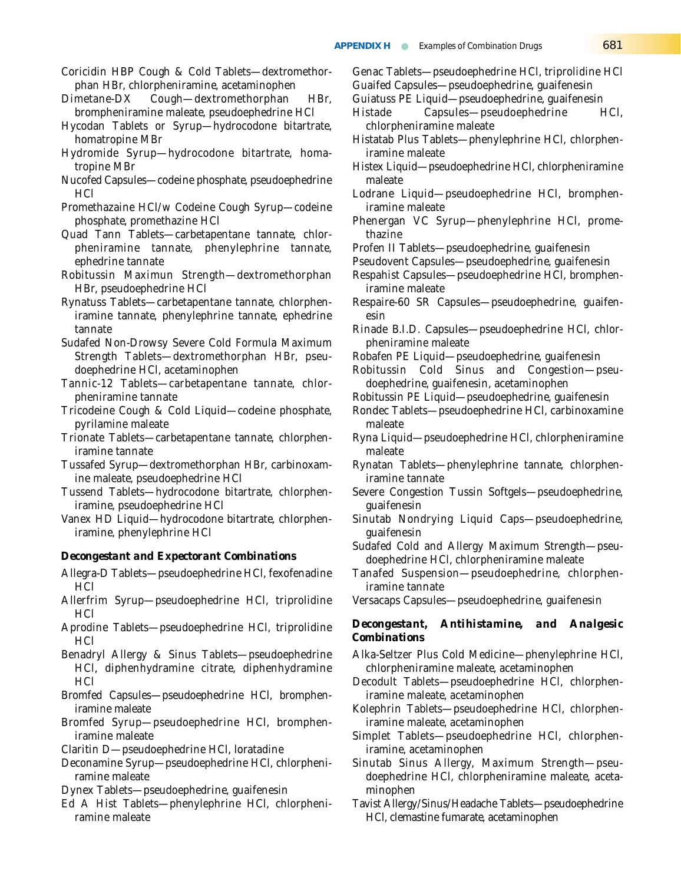- Coricidin HBP Cough & Cold Tablets—dextromethorphan HBr, chlorpheniramine, acetaminophen
- Dimetane-DX Cough—dextromethorphan HBr, brompheniramine maleate, pseudoephedrine HCl
- Hycodan Tablets or Syrup—hydrocodone bitartrate, homatropine MBr
- Hydromide Syrup—hydrocodone bitartrate, homatropine MBr
- Nucofed Capsules—codeine phosphate, pseudoephedrine HCl
- Promethazaine HCl/w Codeine Cough Syrup—codeine phosphate, promethazine HCl
- Quad Tann Tablets—carbetapentane tannate, chlorpheniramine tannate, phenylephrine tannate, ephedrine tannate
- Robitussin Maximun Strength—dextromethorphan HBr, pseudoephedrine HCl
- Rynatuss Tablets—carbetapentane tannate, chlorpheniramine tannate, phenylephrine tannate, ephedrine tannate
- Sudafed Non-Drowsy Severe Cold Formula Maximum Strength Tablets—dextromethorphan HBr, pseudoephedrine HCl, acetaminophen
- Tannic-12 Tablets—carbetapentane tannate, chlorpheniramine tannate
- Tricodeine Cough & Cold Liquid—codeine phosphate, pyrilamine maleate
- Trionate Tablets—carbetapentane tannate, chlorpheniramine tannate
- Tussafed Syrup—dextromethorphan HBr, carbinoxamine maleate, pseudoephedrine HCl
- Tussend Tablets—hydrocodone bitartrate, chlorpheniramine, pseudoephedrine HCl
- Vanex HD Liquid—hydrocodone bitartrate, chlorpheniramine, phenylephrine HCl

## *Decongestant and Expectorant Combinations*

- Allegra-D Tablets—pseudoephedrine HCl, fexofenadine HCl
- Allerfrim Syrup—pseudoephedrine HCl, triprolidine HCl
- Aprodine Tablets—pseudoephedrine HCl, triprolidine HCl
- Benadryl Allergy & Sinus Tablets—pseudoephedrine HCl, diphenhydramine citrate, diphenhydramine HCl
- Bromfed Capsules—pseudoephedrine HCl, brompheniramine maleate
- Bromfed Syrup—pseudoephedrine HCl, brompheniramine maleate
- Claritin D—pseudoephedrine HCl, loratadine
- Deconamine Syrup—pseudoephedrine HCl, chlorpheniramine maleate
- Dynex Tablets—pseudoephedrine, guaifenesin
- Ed A Hist Tablets—phenylephrine HCl, chlorpheniramine maleate

Genac Tablets—pseudoephedrine HCl, triprolidine HCl Guaifed Capsules—pseudoephedrine, guaifenesin

- Guiatuss PE Liquid—pseudoephedrine, guaifenesin
- Histade Capsules—pseudoephedrine HCl, chlorpheniramine maleate
- Histatab Plus Tablets—phenylephrine HCl, chlorpheniramine maleate
- Histex Liquid—pseudoephedrine HCl, chlorpheniramine maleate
- Lodrane Liquid—pseudoephedrine HCl, brompheniramine maleate
- Phenergan VC Syrup—phenylephrine HCl, promethazine
- Profen II Tablets—pseudoephedrine, guaifenesin
- Pseudovent Capsules—pseudoephedrine, guaifenesin
- Respahist Capsules—pseudoephedrine HCl, brompheniramine maleate
- Respaire-60 SR Capsules—pseudoephedrine, guaifenesin
- Rinade B.I.D. Capsules—pseudoephedrine HCl, chlorpheniramine maleate
- Robafen PE Liquid—pseudoephedrine, guaifenesin
- Robitussin Cold Sinus and Congestion—pseudoephedrine, guaifenesin, acetaminophen
- Robitussin PE Liquid—pseudoephedrine, guaifenesin
- Rondec Tablets—pseudoephedrine HCl, carbinoxamine maleate
- Ryna Liquid—pseudoephedrine HCl, chlorpheniramine maleate
- Rynatan Tablets—phenylephrine tannate, chlorpheniramine tannate
- Severe Congestion Tussin Softgels—pseudoephedrine, guaifenesin
- Sinutab Nondrying Liquid Caps—pseudoephedrine, guaifenesin
- Sudafed Cold and Allergy Maximum Strength—pseudoephedrine HCl, chlorpheniramine maleate
- Tanafed Suspension—pseudoephedrine, chlorpheniramine tannate
- Versacaps Capsules—pseudoephedrine, guaifenesin

# *Decongestant, Antihistamine, and Analgesic Combinations*

- Alka-Seltzer Plus Cold Medicine—phenylephrine HCl, chlorpheniramine maleate, acetaminophen
- Decodult Tablets—pseudoephedrine HCl, chlorpheniramine maleate, acetaminophen
- Kolephrin Tablets—pseudoephedrine HCl, chlorpheniramine maleate, acetaminophen
- Simplet Tablets—pseudoephedrine HCl, chlorpheniramine, acetaminophen
- Sinutab Sinus Allergy, Maximum Strength—pseudoephedrine HCl, chlorpheniramine maleate, acetaminophen
- Tavist Allergy/Sinus/Headache Tablets—pseudoephedrine HCl, clemastine fumarate, acetaminophen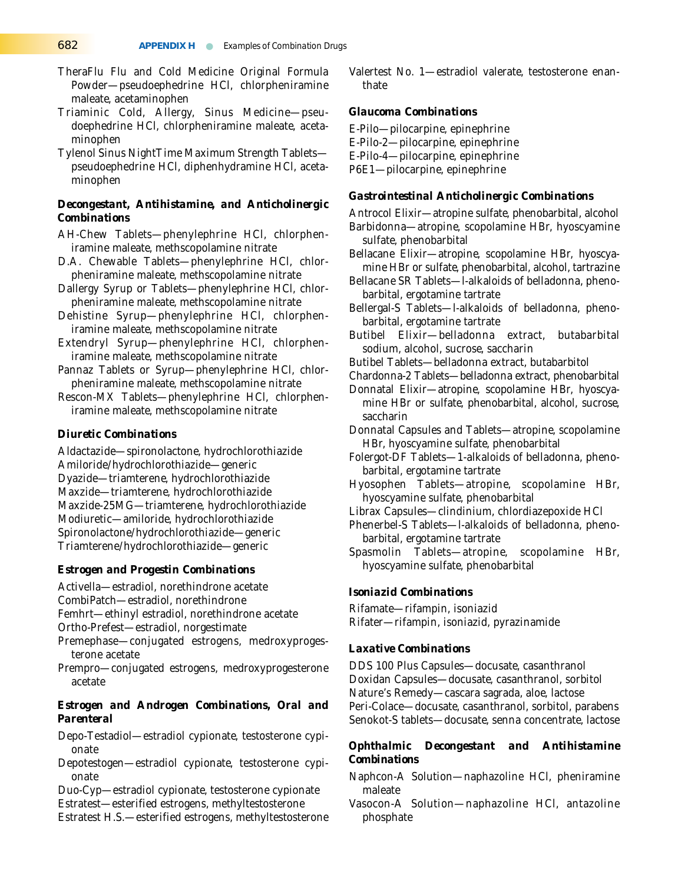- TheraFlu Flu and Cold Medicine Original Formula Powder—pseudoephedrine HCl, chlorpheniramine maleate, acetaminophen
- Triaminic Cold, Allergy, Sinus Medicine—pseudoephedrine HCl, chlorpheniramine maleate, acetaminophen
- Tylenol Sinus NightTime Maximum Strength Tablets pseudoephedrine HCl, diphenhydramine HCl, acetaminophen

# *Decongestant, Antihistamine, and Anticholinergic Combinations*

- AH-Chew Tablets—phenylephrine HCl, chlorpheniramine maleate, methscopolamine nitrate
- D.A. Chewable Tablets—phenylephrine HCl, chlorpheniramine maleate, methscopolamine nitrate
- Dallergy Syrup or Tablets—phenylephrine HCl, chlorpheniramine maleate, methscopolamine nitrate
- Dehistine Syrup—phenylephrine HCl, chlorpheniramine maleate, methscopolamine nitrate
- Extendryl Syrup—phenylephrine HCl, chlorpheniramine maleate, methscopolamine nitrate
- Pannaz Tablets or Syrup—phenylephrine HCl, chlorpheniramine maleate, methscopolamine nitrate
- Rescon-MX Tablets—phenylephrine HCl, chlorpheniramine maleate, methscopolamine nitrate

## *Diuretic Combinations*

Aldactazide—spironolactone, hydrochlorothiazide Amiloride/hydrochlorothiazide—generic Dyazide—triamterene, hydrochlorothiazide Maxzide—triamterene, hydrochlorothiazide Maxzide-25MG—triamterene, hydrochlorothiazide Modiuretic—amiloride, hydrochlorothiazide Spironolactone/hydrochlorothiazide—generic Triamterene/hydrochlorothiazide—generic

## *Estrogen and Progestin Combinations*

- Activella—estradiol, norethindrone acetate
- CombiPatch—estradiol, norethindrone
- Femhrt—ethinyl estradiol, norethindrone acetate
- Ortho-Prefest—estradiol, norgestimate
- Premephase—conjugated estrogens, medroxyprogesterone acetate
- Prempro—conjugated estrogens, medroxyprogesterone acetate

# *Estrogen and Androgen Combinations, Oral and Parenteral*

- Depo-Testadiol—estradiol cypionate, testosterone cypionate
- Depotestogen—estradiol cypionate, testosterone cypionate
- Duo-Cyp—estradiol cypionate, testosterone cypionate
- Estratest—esterified estrogens, methyltestosterone
- Estratest H.S.—esterified estrogens, methyltestosterone

Valertest No. 1—estradiol valerate, testosterone enanthate

### *Glaucoma Combinations*

E-Pilo—pilocarpine, epinephrine E-Pilo-2—pilocarpine, epinephrine E-Pilo-4—pilocarpine, epinephrine P6E1—pilocarpine, epinephrine

#### *Gastrointestinal Anticholinergic Combinations*

- Antrocol Elixir—atropine sulfate, phenobarbital, alcohol Barbidonna—atropine, scopolamine HBr, hyoscyamine sulfate, phenobarbital
- Bellacane Elixir—atropine, scopolamine HBr, hyoscyamine HBr or sulfate, phenobarbital, alcohol, tartrazine
- Bellacane SR Tablets—l-alkaloids of belladonna, phenobarbital, ergotamine tartrate
- Bellergal-S Tablets—l-alkaloids of belladonna, phenobarbital, ergotamine tartrate
- Butibel Elixir—belladonna extract, butabarbital sodium, alcohol, sucrose, saccharin
- Butibel Tablets—belladonna extract, butabarbitol
- Chardonna-2 Tablets—belladonna extract, phenobarbital
- Donnatal Elixir—atropine, scopolamine HBr, hyoscyamine HBr or sulfate, phenobarbital, alcohol, sucrose, saccharin
- Donnatal Capsules and Tablets—atropine, scopolamine HBr, hyoscyamine sulfate, phenobarbital
- Folergot-DF Tablets—1-alkaloids of belladonna, phenobarbital, ergotamine tartrate
- Hyosophen Tablets—atropine, scopolamine HBr, hyoscyamine sulfate, phenobarbital
- Librax Capsules—clindinium, chlordiazepoxide HCl
- Phenerbel-S Tablets—l-alkaloids of belladonna, phenobarbital, ergotamine tartrate
- Spasmolin Tablets—atropine, scopolamine HBr, hyoscyamine sulfate, phenobarbital

#### *Isoniazid Combinations*

Rifamate—rifampin, isoniazid Rifater—rifampin, isoniazid, pyrazinamide

## *Laxative Combinations*

DDS 100 Plus Capsules—docusate, casanthranol Doxidan Capsules—docusate, casanthranol, sorbitol Nature's Remedy—cascara sagrada, aloe, lactose Peri-Colace—docusate, casanthranol, sorbitol, parabens Senokot-S tablets—docusate, senna concentrate, lactose

# *Ophthalmic Decongestant and Antihistamine Combinations*

- Naphcon-A Solution—naphazoline HCl, pheniramine maleate
- Vasocon-A Solution—naphazoline HCl, antazoline phosphate